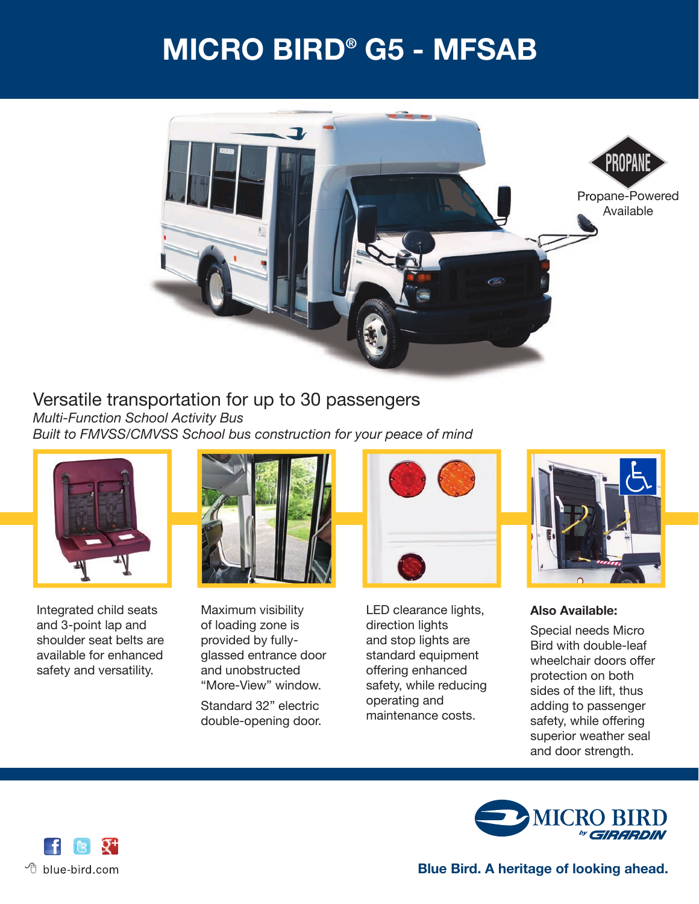## **MICRO BIRD® G5 - MFSAB**



### Versatile transportation for up to 30 passengers *Multi-Function School Activity Bus*

*Built to FMVSS/CMVSS School bus construction for your peace of mind*



 Integrated child seats and 3-point lap and shoulder seat belts are available for enhanced safety and versatility.



 Maximum visibility of loading zone is provided by fullyglassed entrance door and unobstructed "More-View" window.

Standard 32" electric double-opening door.



 LED clearance lights, direction lights and stop lights are standard equipment offering enhanced safety, while reducing operating and maintenance costs.



 **Also Available:**

Special needs Micro Bird with double-leaf wheelchair doors offer protection on both sides of the lift, thus adding to passenger safety, while offering superior weather seal and door strength.



 $\sqrt{\theta}$  blue-bird.com

**Blue Bird. A heritage of looking ahead.**